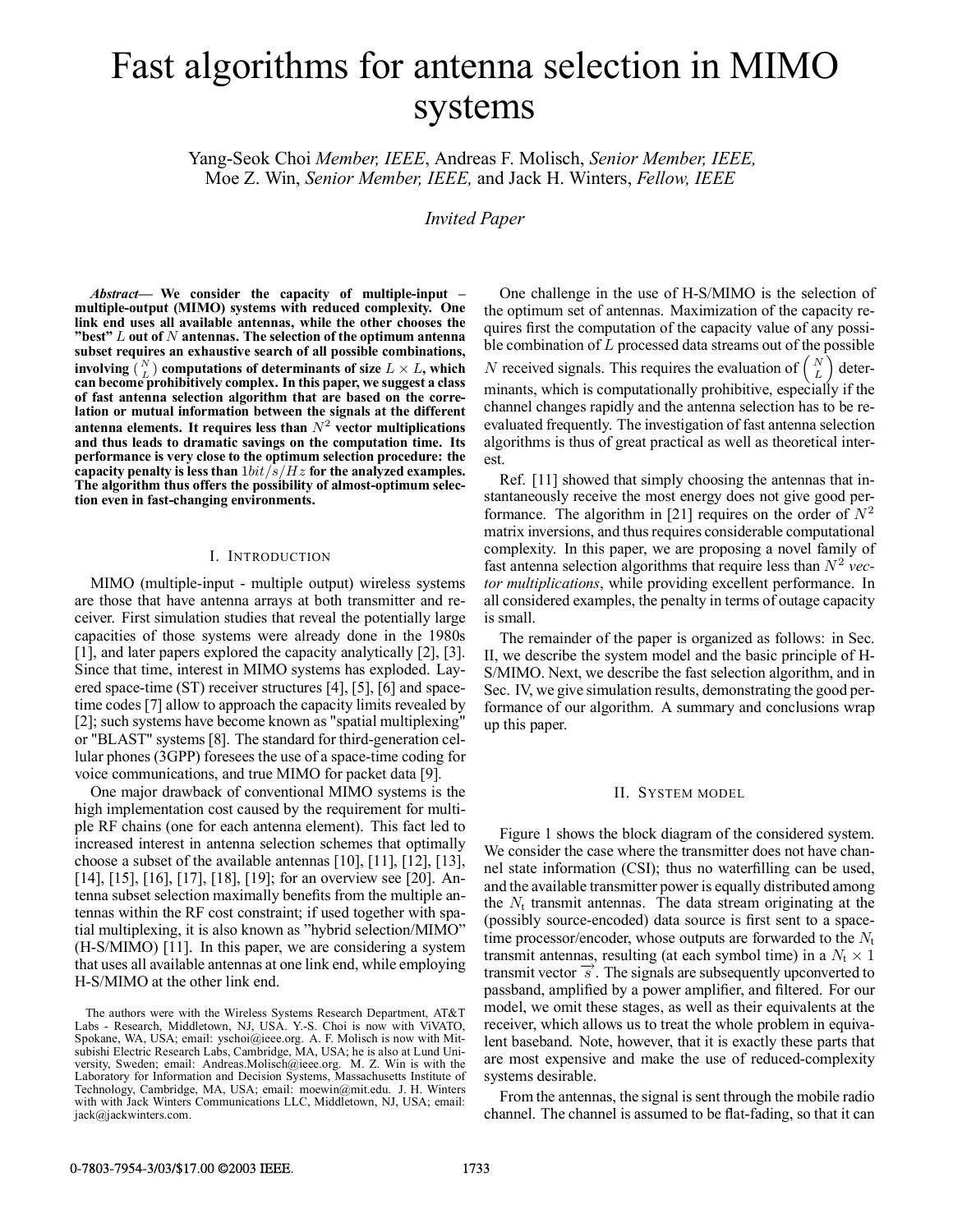# Fast algorithms for antenna selection in MIMO systems

Yang-Seok Choi *Member, IEEE*, Andreas F. Molisch, *Senior Member, IEEE,* Moe Z. Win, *Senior Member, IEEE,* and Jack H. Winters, *Fellow, IEEE*

*Invited Paper*

est.

*Abstract***— We consider the capacity of multiple-input – multiple-output (MIMO) systems with reduced complexity. One link end uses all available antennas, while the other chooses the "best"** L **out of** N **antennas. The selection of the optimum antenna subset requires an exhaustive search of all possible combinations, involving**  $\binom{N}{L}$  **computations of determinants of size**  $L \times L$ , which **can become prohibitively complex. In this paper, we suggest a class of fast antenna selection algorithm that are based on the correlation or mutual information between the signals at the different** antenna elements. It requires less than  $N^2$  vector multiplications **and thus leads to dramatic savings on the computation time. Its performance is very close to the optimum selection procedure: the** capacity penalty is less than  $1bit/s/Hz$  for the analyzed examples. **The algorithm thus offers the possibility of almost-optimum selection even in fast-changing environments.**

# I. INTRODUCTION

MIMO (multiple-input - multiple output) wireless systems are those that have antenna arrays at both transmitter and receiver. First simulation studies that reveal the potentially large capacities of those systems were already done in the 1980s [1], and later papers explored the capacity analytically [2], [3]. Since that time, interest in MIMO systems has exploded. Layered space-time (ST) receiver structures [4], [5], [6] and spacetime codes [7] allow to approach the capacity limits revealed by [2]; such systems have become known as "spatial multiplexing" or "BLAST" systems [8]. The standard for third-generation cellular phones (3GPP) foresees the use of a space-time coding for voice communications, and true MIMO for packet data [9].

One major drawback of conventional MIMO systems is the high implementation cost caused by the requirement for multiple RF chains (one for each antenna element). This fact led to increased interest in antenna selection schemes that optimally choose a subset of the available antennas [10], [11], [12], [13], [14], [15], [16], [17], [18], [19]; for an overview see [20]. Antenna subset selection maximally benefits from the multiple antennas within the RF cost constraint; if used together with spatial multiplexing, it is also known as "hybrid selection/MIMO" (H-S/MIMO) [11]. In this paper, we are considering a system that uses all available antennas at one link end, while employing H-S/MIMO at the other link end.

One challenge in the use of H-S/MIMO is the selection of the optimum set of antennas. Maximization of the capacity requires first the computation of the capacity value of any possible combination of L processed data streams out of the possible  $N$  received signals. This requires the evaluation of  $\left($ L ´ determinants, which is computationally prohibitive, especially if the channel changes rapidly and the antenna selection has to be reevaluated frequently. The investigation of fast antenna selection

algorithms is thus of great practical as well as theoretical inter-

Ref. [11] showed that simply choosing the antennas that instantaneously receive the most energy does not give good performance. The algorithm in [21] requires on the order of  $N^2$ matrix inversions, and thus requires considerable computational complexity. In this paper, we are proposing a novel family of fast antenna selection algorithms that require less than  $N^2$  *vector multiplications*, while providing excellent performance. In all considered examples, the penalty in terms of outage capacity is small.

The remainder of the paper is organized as follows: in Sec. II, we describe the system model and the basic principle of H-S/MIMO. Next, we describe the fast selection algorithm, and in Sec. IV, we give simulation results, demonstrating the good performance of our algorithm. A summary and conclusions wrap up this paper.

## II. SYSTEM MODEL

Figure 1 shows the block diagram of the considered system. We consider the case where the transmitter does not have channel state information (CSI); thus no waterfilling can be used, and the available transmitter power is equally distributed among the  $N_t$  transmit antennas. The data stream originating at the (possibly source-encoded) data source is first sent to a spacetime processor/encoder, whose outputs are forwarded to the  $N_t$ transmit antennas, resulting (at each symbol time) in a  $N_t \times 1$ transmit vector  $\vec{s}$ . The signals are subsequently upconverted to passband, amplified by a power amplifier, and filtered. For our model, we omit these stages, as well as their equivalents at the receiver, which allows us to treat the whole problem in equivalent baseband. Note, however, that it is exactly these parts that are most expensive and make the use of reduced-complexity systems desirable.

From the antennas, the signal is sent through the mobile radio channel. The channel is assumed to be flat-fading, so that it can

The authors were with the Wireless Systems Research Department, AT&T Labs - Research, Middletown, NJ, USA. Y.-S. Choi is now with ViVATO, Spokane, WA, USA; email: yschoi@ieee.org. A. F. Molisch is now with Mitsubishi Electric Research Labs, Cambridge, MA, USA; he is also at Lund University, Sweden; email: Andreas.Molisch@ieee.org. M. Z. Win is with the Laboratory for Information and Decision Systems, Massachusetts Institute of Technology, Cambridge, MA, USA; email: moewin@mit.edu. J. H. Winters with with Jack Winters Communications LLC, Middletown, NJ, USA; email: jack@jackwinters.com.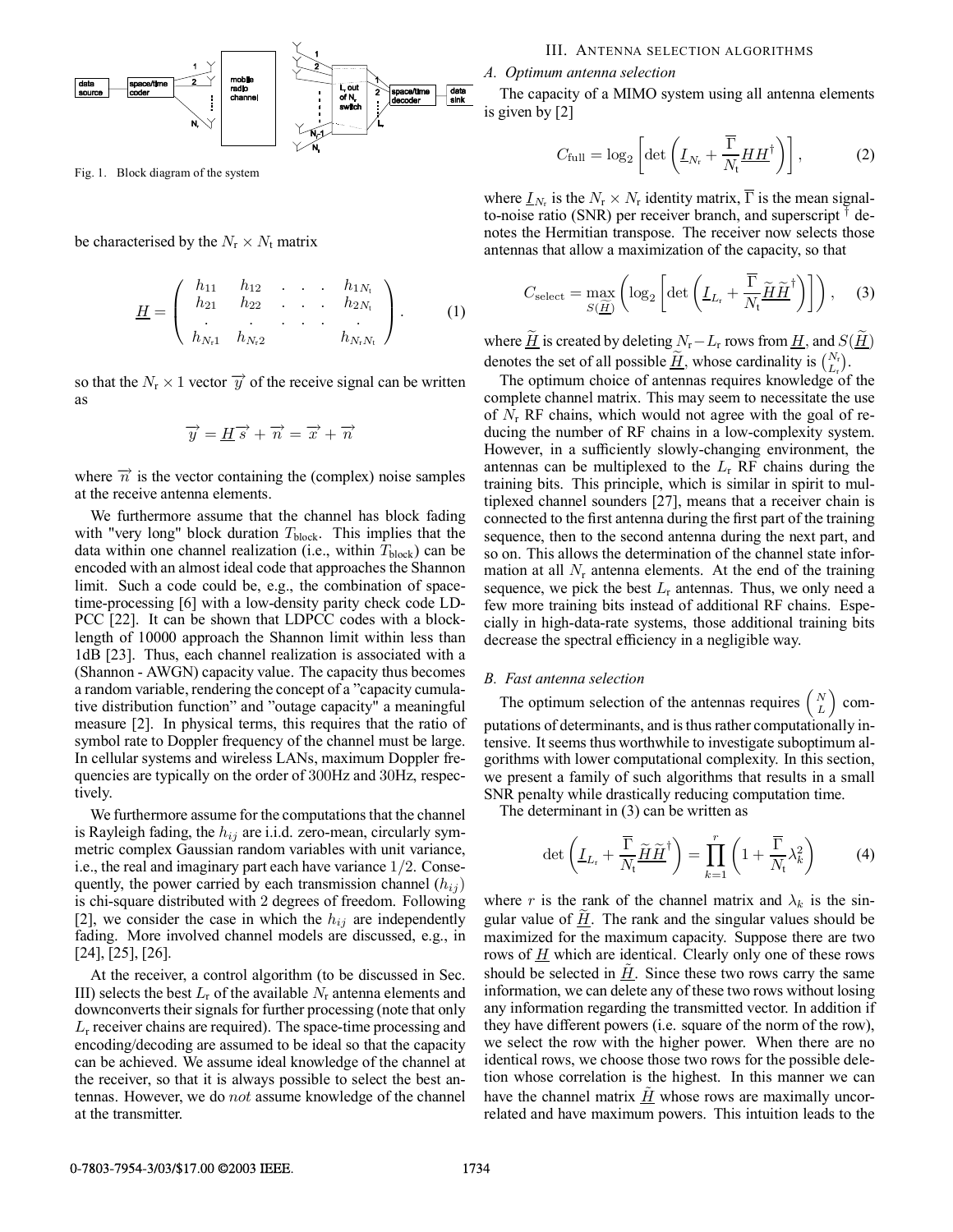

Fig. 1. Block diagram of the system

be characterised by the  $N_r \times N_t$  matrix

$$
\underline{H} = \left( \begin{array}{cccc} h_{11} & h_{12} & \dots & h_{1N_{\rm t}} \\ h_{21} & h_{22} & \dots & h_{2N_{\rm t}} \\ \vdots & \vdots & \ddots & \vdots \\ h_{N_{\rm t}1} & h_{N_{\rm t}2} & & h_{N_{\rm r}N_{\rm t}} \end{array} \right). \tag{1}
$$

so that the  $N_r \times 1$  vector  $\overrightarrow{y}$  of the receive signal can be written as

$$
\overrightarrow{y} = \underline{H}\overrightarrow{s} + \overrightarrow{n} = \overrightarrow{x} + \overrightarrow{n}
$$

where  $\vec{n}$  is the vector containing the (complex) noise samples at the receive antenna elements.

We furthermore assume that the channel has block fading with "very long" block duration  $T_{\text{block}}$ . This implies that the data within one channel realization (i.e., within  $T_{block}$ ) can be encoded with an almost ideal code that approaches the Shannon limit. Such a code could be, e.g., the combination of spacetime-processing [6] with a low-density parity check code LD-PCC [22]. It can be shown that LDPCC codes with a blocklength of 10000 approach the Shannon limit within less than 1dB [23]. Thus, each channel realization is associated with a (Shannon - AWGN) capacity value. The capacity thus becomes a random variable, rendering the concept of a "capacity cumulative distribution function" and "outage capacity" a meaningful measure [2]. In physical terms, this requires that the ratio of symbol rate to Doppler frequency of the channel must be large. In cellular systems and wireless LANs, maximum Doppler frequencies are typically on the order of 300Hz and 30Hz, respectively.

We furthermore assume for the computations that the channel is Rayleigh fading, the  $h_{ij}$  are i.i.d. zero-mean, circularly symmetric complex Gaussian random variables with unit variance, i.e., the real and imaginary part each have variance 1/2. Consequently, the power carried by each transmission channel  $(h_{ij})$ is chi-square distributed with 2 degrees of freedom. Following [2], we consider the case in which the  $h_{ij}$  are independently fading. More involved channel models are discussed, e.g., in [24], [25], [26].

At the receiver, a control algorithm (to be discussed in Sec. III) selects the best  $L_r$  of the available  $N_r$  antenna elements and downconverts their signals for further processing (note that only  $L<sub>r</sub>$  receiver chains are required). The space-time processing and encoding/decoding are assumed to be ideal so that the capacity can be achieved. We assume ideal knowledge of the channel at the receiver, so that it is always possible to select the best antennas. However, we do not assume knowledge of the channel at the transmitter.

## III. ANTENNA SELECTION ALGORITHMS

*A. Optimum antenna selection*

The capacity of a MIMO system using all antenna elements is given by [2]

$$
C_{\text{full}} = \log_2 \left[ \det \left( \underline{I}_{N_{\text{r}}} + \frac{\overline{\Gamma}}{N_{\text{t}}} \underline{H} \underline{H}^{\dagger} \right) \right],\tag{2}
$$

where  $I_N$  is the  $N_r \times N_r$  identity matrix,  $\overline{\Gamma}$  is the mean signalto-noise ratio (SNR) per receiver branch, and superscript  $\dagger$  denotes the Hermitian transpose. The receiver now selects those antennas that allow a maximization of the capacity, so that

$$
C_{\text{select}} = \max_{S(\underline{\widetilde{H}})} \left( \log_2 \left[ \det \left( \underline{I}_{L_{\text{r}}} + \frac{\overline{\Gamma}}{N_{\text{t}}} \underline{\widetilde{H}} \underline{\widetilde{H}}^{\dagger} \right) \right] \right), \quad (3)
$$

where  $\tilde{H}$  is created by deleting  $N_r - L_r$  rows from  $H$ , and  $S(\tilde{H})$ denotes the set of all possible  $\underline{\widetilde{H}}$ , whose cardinality is  $\binom{N_r}{L_r}$ .

The optimum choice of antennas requires knowledge of the complete channel matrix. This may seem to necessitate the use of  $N_r$  RF chains, which would not agree with the goal of reducing the number of RF chains in a low-complexity system. However, in a sufficiently slowly-changing environment, the antennas can be multiplexed to the  $L<sub>r</sub>$  RF chains during the training bits. This principle, which is similar in spirit to multiplexed channel sounders [27], means that a receiver chain is connected to the first antenna during the first part of the training sequence, then to the second antenna during the next part, and so on. This allows the determination of the channel state information at all  $N_r$  antenna elements. At the end of the training sequence, we pick the best  $L_r$  antennas. Thus, we only need a few more training bits instead of additional RF chains. Especially in high-data-rate systems, those additional training bits decrease the spectral efficiency in a negligible way.

## *B. Fast antenna selection*

The optimum selection of the antennas requires  $\begin{pmatrix} N \\ L \end{pmatrix}$  $\vert$  computations of determinants, and is thus rather computationally intensive. It seems thus worthwhile to investigate suboptimum algorithms with lower computational complexity. In this section, we present a family of such algorithms that results in a small SNR penalty while drastically reducing computation time.

The determinant in (3) can be written as

$$
\det\left(\underline{I}_{L_{\rm r}} + \frac{\overline{\Gamma}}{N_{\rm t}} \widetilde{H} \widetilde{H}^{\dagger}\right) = \prod_{k=1}^{r} \left(1 + \frac{\overline{\Gamma}}{N_{\rm t}} \lambda_k^2\right) \tag{4}
$$

where r is the rank of the channel matrix and  $\lambda_k$  is the singular value of  $H$ . The rank and the singular values should be maximized for the maximum capacity. Suppose there are two rows of  $\underline{H}$  which are identical. Clearly only one of these rows should be selected in  $H$ . Since these two rows carry the same information, we can delete any of these two rows without losing any information regarding the transmitted vector. In addition if they have different powers (i.e. square of the norm of the row), we select the row with the higher power. When there are no identical rows, we choose those two rows for the possible deletion whose correlation is the highest. In this manner we can have the channel matrix  $H$  whose rows are maximally uncorrelated and have maximum powers. This intuition leads to the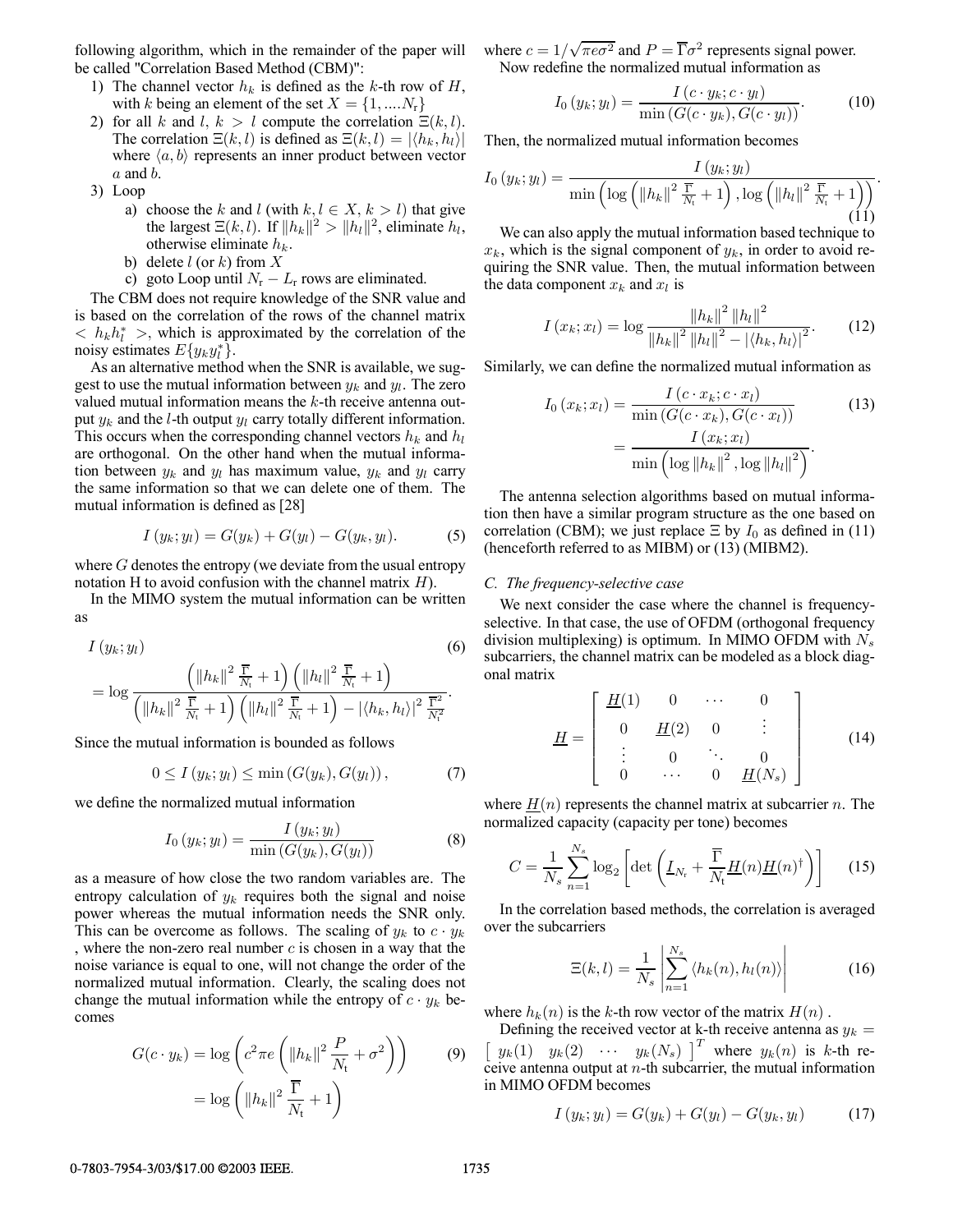following algorithm, which in the remainder of the paper will be called "Correlation Based Method (CBM)":

- 1) The channel vector  $h_k$  is defined as the k-th row of  $H$ , with k being an element of the set  $X = \{1, \dots N_r\}$
- 2) for all k and l,  $k > l$  compute the correlation  $\Xi(k, l)$ . The correlation  $\Xi(k,l)$  is defined as  $\Xi(k,l) = |\langle h_k, h_l \rangle|$ where  $\langle a, b \rangle$  represents an inner product between vector  $a$  and  $b$ .
- 3) Loop
	- a) choose the k and l (with  $k, l \in X, k > l$ ) that give the largest  $\Xi(k,l)$ . If  $||h_k||^2 > ||h_l||^2$ , eliminate  $h_l$ , otherwise eliminate  $h_k$ .
	- b) delete  $l$  (or k) from X
	- c) goto Loop until  $N_r L_r$  rows are eliminated.

The CBM does not require knowledge of the SNR value and is based on the correlation of the rows of the channel matrix  $\langle h_k h_l^* \rangle$ , which is approximated by the correlation of the noisy estimates  $E\{y_k y_l^*\}.$ 

As an alternative method when the SNR is available, we suggest to use the mutual information between  $y_k$  and  $y_l$ . The zero valued mutual information means the  $k$ -th receive antenna output  $y_k$  and the *l*-th output  $y_l$  carry totally different information. This occurs when the corresponding channel vectors  $h_k$  and  $h_l$ are orthogonal. On the other hand when the mutual information between  $y_k$  and  $y_l$  has maximum value,  $y_k$  and  $y_l$  carry the same information so that we can delete one of them. The mutual information is defined as [28]

$$
I(y_k; y_l) = G(y_k) + G(y_l) - G(y_k, y_l). \tag{5}
$$

where  $G$  denotes the entropy (we deviate from the usual entropy notation H to avoid confusion with the channel matrix  $H$ ).

In the MIMO system the mutual information can be written as

$$
I(y_k; y_l)
$$
\n
$$
= \log \frac{\left(\|h_k\|^2 \frac{\overline{\Gamma}}{N_t} + 1\right) \left(\|h_l\|^2 \frac{\overline{\Gamma}}{N_t} + 1\right)}{\left(\|h_k\|^2 \frac{\overline{\Gamma}}{N_t} + 1\right) \left(\|h_l\|^2 \frac{\overline{\Gamma}}{N_t} + 1\right) - |\langle h_k, h_l \rangle|^2 \frac{\overline{\Gamma}^2}{N_t^2}}.
$$
\n(6)

Since the mutual information is bounded as follows

$$
0 \le I(y_k; y_l) \le \min\left(G(y_k), G(y_l)\right),\tag{7}
$$

we define the normalized mutual information

$$
I_0(y_k; y_l) = \frac{I(y_k; y_l)}{\min(G(y_k), G(y_l))}
$$
\n
$$
(8)
$$

as a measure of how close the two random variables are. The entropy calculation of  $y_k$  requires both the signal and noise power whereas the mutual information needs the SNR only. This can be overcome as follows. The scaling of  $y_k$  to  $c \cdot y_k$ , where the non-zero real number  $c$  is chosen in a way that the noise variance is equal to one, will not change the order of the normalized mutual information. Clearly, the scaling does not change the mutual information while the entropy of  $c \cdot y_k$  becomes

$$
G(c \cdot y_k) = \log \left( c^2 \pi e \left( \|h_k\|^2 \frac{P}{N_t} + \sigma^2 \right) \right) \tag{9}
$$

$$
= \log \left( \|h_k\|^2 \frac{\overline{\Gamma}}{N_t} + 1 \right)
$$

where  $c = 1/\sqrt{\pi e \sigma^2}$  and  $P = \overline{\Gamma} \sigma^2$  represents signal power. Now redefine the normalized mutual information as

$$
I_0(y_k; y_l) = \frac{I(c \cdot y_k; c \cdot y_l)}{\min\left(G(c \cdot y_k), G(c \cdot y_l)\right)}.
$$
 (10)

Then, the normalized mutual information becomes

$$
I_0(y_k; y_l) = \frac{I(y_k; y_l)}{\min\left(\log\left(\left\|h_k\right\|^2 \frac{\overline{\Gamma}}{N_t} + 1\right), \log\left(\left\|h_l\right\|^2 \frac{\overline{\Gamma}}{N_t} + 1\right)\right)}.
$$

We can also apply the mutual information based technique to  $x_k$ , which is the signal component of  $y_k$ , in order to avoid requiring the SNR value. Then, the mutual information between the data component  $x_k$  and  $x_l$  is

$$
I(x_k; x_l) = \log \frac{\|h_k\|^2 \, \|h_l\|^2}{\|h_k\|^2 \, \|h_l\|^2 - |\langle h_k, h_l \rangle|^2}.
$$
 (12)

Similarly, we can define the normalized mutual information as

$$
I_{0}(x_{k};x_{l}) = \frac{I(c \cdot x_{k};c \cdot x_{l})}{\min(G(c \cdot x_{k}),G(c \cdot x_{l}))}
$$
\n
$$
= \frac{I(x_{k};x_{l})}{\min(\log ||h_{k}||^{2},\log ||h_{l}||^{2})}.
$$
\n(13)

The antenna selection algorithms based on mutual information then have a similar program structure as the one based on correlation (CBM); we just replace  $\Xi$  by  $I_0$  as defined in (11) (henceforth referred to as MIBM) or (13) (MIBM2).

# *C. The frequency-selective case*

We next consider the case where the channel is frequencyselective. In that case, the use of OFDM (orthogonal frequency division multiplexing) is optimum. In MIMO OFDM with  $N_s$ subcarriers, the channel matrix can be modeled as a block diagonal matrix

$$
\underline{H} = \left[ \begin{array}{cccc} \underline{H}(1) & 0 & \cdots & 0 \\ 0 & \underline{H}(2) & 0 & \vdots \\ \vdots & 0 & \ddots & 0 \\ 0 & \cdots & 0 & \underline{H}(N_s) \end{array} \right] \tag{14}
$$

where  $\underline{H}(n)$  represents the channel matrix at subcarrier n. The normalized capacity (capacity per tone) becomes

$$
C = \frac{1}{N_s} \sum_{n=1}^{N_s} \log_2 \left[ \det \left( \underline{I}_{N_\text{r}} + \frac{\overline{\Gamma}}{N_\text{t}} \underline{H}(n) \underline{H}(n)^\dagger \right) \right]
$$
 (15)

In the correlation based methods, the correlation is averaged over the subcarriers

$$
\Xi(k,l) = \frac{1}{N_s} \left| \sum_{n=1}^{N_s} \left\langle h_k(n), h_l(n) \right\rangle \right| \tag{16}
$$

where  $h_k(n)$  is the k-th row vector of the matrix  $H(n)$ .

Defining the received vector at k-th receive antenna as  $y_k =$  $y_k(1)$   $y_k(2)$   $\cdots$   $y_k(N_s)$   $\big|_1^T$  where  $y_k(n)$  is k-th receive antenna output at  $n$ -th subcarrier, the mutual information in MIMO OFDM becomes

$$
I(y_k; y_l) = G(y_k) + G(y_l) - G(y_k, y_l)
$$
 (17)

#### 0-7803-7954-3/03/\$17.00 © 2003 IEEE. 1735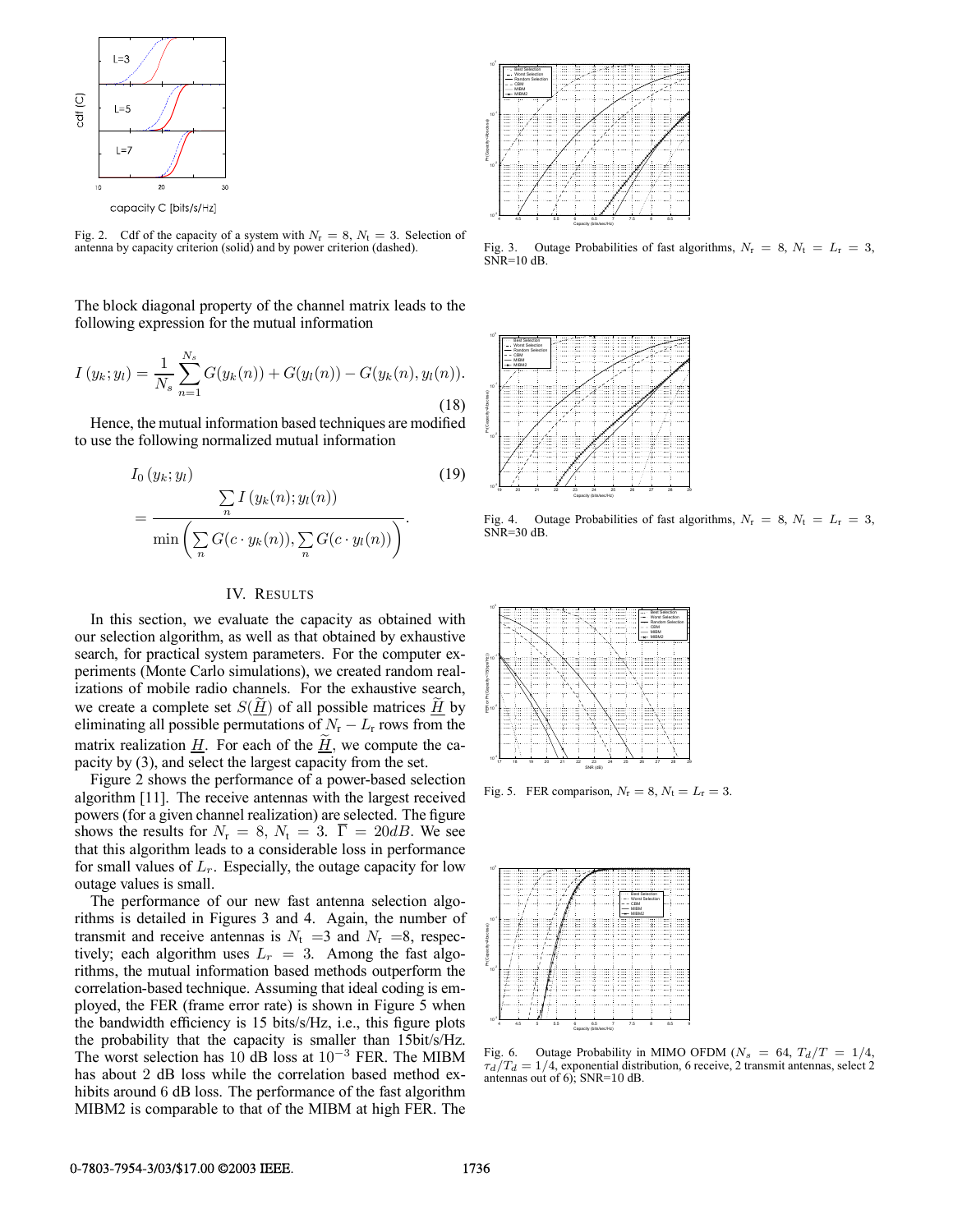

Fig. 2. Cdf of the capacity of a system with  $N_r = 8$ ,  $N_t = 3$ . Selection of antenna by capacity criterion (solid) and by power criterion (dashed).

The block diagonal property of the channel matrix leads to the following expression for the mutual information

$$
I(y_k; y_l) = \frac{1}{N_s} \sum_{n=1}^{N_s} G(y_k(n)) + G(y_l(n)) - G(y_k(n), y_l(n)).
$$
\n(18)

Hence, the mutual information based techniques are modified to use the following normalized mutual information

$$
I_0(y_k; y_l)
$$
\n
$$
= \frac{\sum_{n} I(y_k(n); y_l(n))}{\min \left( \sum_{n} G(c \cdot y_k(n)), \sum_{n} G(c \cdot y_l(n)) \right)}.
$$
\n(19)

## IV. RESULTS

In this section, we evaluate the capacity as obtained with our selection algorithm, as well as that obtained by exhaustive search, for practical system parameters. For the computer experiments (Monte Carlo simulations), we created random realizations of mobile radio channels. For the exhaustive search, we create a complete set  $S(H)$  of all possible matrices  $H$  by eliminating all possible permutations of  $N_r - L_r$  rows from the matrix realization  $\underline{H}$ . For each of the  $\underline{H}$ , we compute the capacity by (3), and select the largest capacity from the set.

Figure 2 shows the performance of a power-based selection algorithm [11]. The receive antennas with the largest received powers (for a given channel realization) are selected. The figure shows the results for  $N_r = 8$ ,  $N_t = 3$ .  $\overline{\Gamma} = 20$ dB. We see that this algorithm leads to a considerable loss in performance for small values of  $L_r$ . Especially, the outage capacity for low outage values is small.

The performance of our new fast antenna selection algorithms is detailed in Figures 3 and 4. Again, the number of transmit and receive antennas is  $N_t = 3$  and  $N_r = 8$ , respectively; each algorithm uses  $L_r = 3$ . Among the fast algorithms, the mutual information based methods outperform the correlation-based technique. Assuming that ideal coding is employed, the FER (frame error rate) is shown in Figure 5 when the bandwidth efficiency is 15 bits/s/Hz, i.e., this figure plots the probability that the capacity is smaller than 15bit/s/Hz. The worst selection has 10 dB loss at 10−<sup>3</sup> FER. The MIBM has about 2 dB loss while the correlation based method exhibits around 6 dB loss. The performance of the fast algorithm MIBM2 is comparable to that of the MIBM at high FER. The



Fig. 3. Outage Probabilities of fast algorithms,  $N_r = 8$ ,  $N_t = L_r = 3$ ,  $SNR=10$  dB.



Fig. 4. Outage Probabilities of fast algorithms,  $N_r = 8$ ,  $N_t = L_r = 3$ ,  $SNR=30$  dB.

|                                               |  |       |  |         | $- -$ CBM<br>$-$ MIBM<br>$+$ MIBM2 | **** Best Selection<br>--- Worst Selection<br>- Random Selection |  |
|-----------------------------------------------|--|-------|--|---------|------------------------------------|------------------------------------------------------------------|--|
|                                               |  |       |  |         |                                    |                                                                  |  |
|                                               |  |       |  |         |                                    |                                                                  |  |
| FER or Pr(Capacity<15(bps#12)]<br>0<br>0<br>0 |  |       |  |         |                                    |                                                                  |  |
|                                               |  |       |  |         |                                    |                                                                  |  |
|                                               |  | <br>. |  | <br>. 6 |                                    |                                                                  |  |
|                                               |  |       |  |         |                                    |                                                                  |  |
|                                               |  |       |  |         |                                    |                                                                  |  |

Fig. 5. FER comparison,  $N_r = 8$ ,  $N_t = L_r = 3$ .



Fig. 6. Outage Probability in MIMO OFDM ( $N_s = 64$ ,  $T_d/T = 1/4$ ,  $\tau_d/T_d = 1/4$ , exponential distribution, 6 receive, 2 transmit antennas, select 2 antennas out of 6); SNR=10 dB.